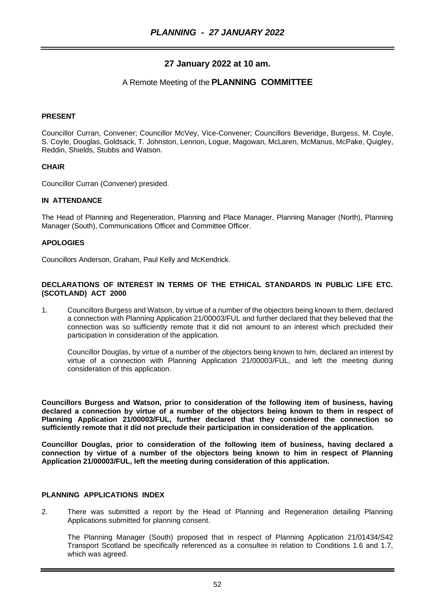## **27 January 2022 at 10 am.**

### A Remote Meeting of the **PLANNING COMMITTEE**

#### **PRESENT**

Councillor Curran, Convener; Councillor McVey, Vice-Convener; Councillors Beveridge, Burgess, M. Coyle, S. Coyle, Douglas, Goldsack, T. Johnston, Lennon, Logue, Magowan, McLaren, McManus, McPake, Quigley, Reddin, Shields, Stubbs and Watson.

#### **CHAIR**

Councillor Curran (Convener) presided.

#### **IN ATTENDANCE**

The Head of Planning and Regeneration, Planning and Place Manager, Planning Manager (North), Planning Manager (South), Communications Officer and Committee Officer.

#### **APOLOGIES**

Councillors Anderson, Graham, Paul Kelly and McKendrick.

#### **DECLARATIONS OF INTEREST IN TERMS OF THE ETHICAL STANDARDS IN PUBLIC LIFE ETC. (SCOTLAND) ACT 2000**

1. Councillors Burgess and Watson, by virtue of a number of the objectors being known to them, declared a connection with Planning Application 21/00003/FUL and further declared that they believed that the connection was so sufficiently remote that it did not amount to an interest which precluded their participation in consideration of the application.

Councillor Douglas, by virtue of a number of the objectors being known to him, declared an interest by virtue of a connection with Planning Application 21/00003/FUL, and left the meeting during consideration of this application.

**Councillors Burgess and Watson, prior to consideration of the following item of business, having declared a connection by virtue of a number of the objectors being known to them in respect of Planning Application 21/00003/FUL, further declared that they considered the connection so sufficiently remote that it did not preclude their participation in consideration of the application.**

**Councillor Douglas, prior to consideration of the following item of business, having declared a connection by virtue of a number of the objectors being known to him in respect of Planning Application 21/00003/FUL, left the meeting during consideration of this application.**

#### **PLANNING APPLICATIONS INDEX**

2. There was submitted a report by the Head of Planning and Regeneration detailing Planning Applications submitted for planning consent.

The Planning Manager (South) proposed that in respect of Planning Application 21/01434/S42 Transport Scotland be specifically referenced as a consultee in relation to Conditions 1.6 and 1.7, which was agreed.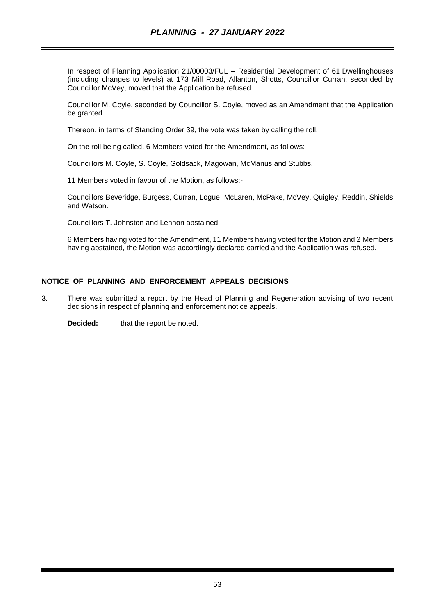In respect of Planning Application 21/00003/FUL – Residential Development of 61 Dwellinghouses (including changes to levels) at 173 Mill Road, Allanton, Shotts, Councillor Curran, seconded by Councillor McVey, moved that the Application be refused.

Councillor M. Coyle, seconded by Councillor S. Coyle, moved as an Amendment that the Application be granted.

Thereon, in terms of Standing Order 39, the vote was taken by calling the roll.

On the roll being called, 6 Members voted for the Amendment, as follows:-

Councillors M. Coyle, S. Coyle, Goldsack, Magowan, McManus and Stubbs.

11 Members voted in favour of the Motion, as follows:-

Councillors Beveridge, Burgess, Curran, Logue, McLaren, McPake, McVey, Quigley, Reddin, Shields and Watson.

Councillors T. Johnston and Lennon abstained.

6 Members having voted for the Amendment, 11 Members having voted for the Motion and 2 Members having abstained, the Motion was accordingly declared carried and the Application was refused.

#### **NOTICE OF PLANNING AND ENFORCEMENT APPEALS DECISIONS**

3. There was submitted a report by the Head of Planning and Regeneration advising of two recent decisions in respect of planning and enforcement notice appeals.

**Decided:** that the report be noted.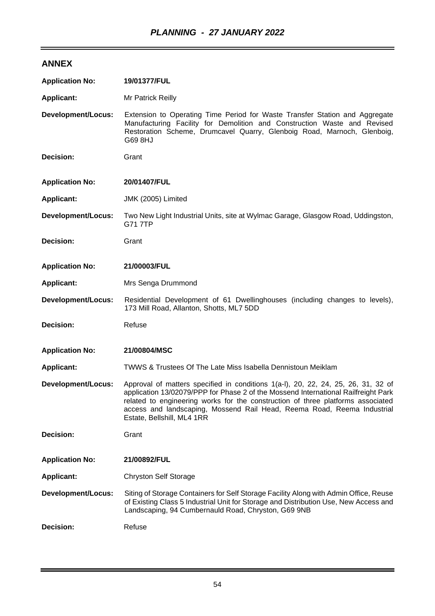# **ANNEX**

| <b>Application No:</b>    | 19/01377/FUL                                                                                                                                                                                                                                                                                                                                                        |
|---------------------------|---------------------------------------------------------------------------------------------------------------------------------------------------------------------------------------------------------------------------------------------------------------------------------------------------------------------------------------------------------------------|
| <b>Applicant:</b>         | Mr Patrick Reilly                                                                                                                                                                                                                                                                                                                                                   |
| <b>Development/Locus:</b> | Extension to Operating Time Period for Waste Transfer Station and Aggregate<br>Manufacturing Facility for Demolition and Construction Waste and Revised<br>Restoration Scheme, Drumcavel Quarry, Glenboig Road, Marnoch, Glenboig,<br>G69 8HJ                                                                                                                       |
| Decision:                 | Grant                                                                                                                                                                                                                                                                                                                                                               |
| <b>Application No:</b>    | 20/01407/FUL                                                                                                                                                                                                                                                                                                                                                        |
| <b>Applicant:</b>         | JMK (2005) Limited                                                                                                                                                                                                                                                                                                                                                  |
| <b>Development/Locus:</b> | Two New Light Industrial Units, site at Wylmac Garage, Glasgow Road, Uddingston,<br><b>G717TP</b>                                                                                                                                                                                                                                                                   |
| Decision:                 | Grant                                                                                                                                                                                                                                                                                                                                                               |
| <b>Application No:</b>    | 21/00003/FUL                                                                                                                                                                                                                                                                                                                                                        |
| <b>Applicant:</b>         | Mrs Senga Drummond                                                                                                                                                                                                                                                                                                                                                  |
| <b>Development/Locus:</b> | Residential Development of 61 Dwellinghouses (including changes to levels),<br>173 Mill Road, Allanton, Shotts, ML7 5DD                                                                                                                                                                                                                                             |
| Decision:                 | Refuse                                                                                                                                                                                                                                                                                                                                                              |
| <b>Application No:</b>    | 21/00804/MSC                                                                                                                                                                                                                                                                                                                                                        |
| <b>Applicant:</b>         | TWWS & Trustees Of The Late Miss Isabella Dennistoun Meiklam                                                                                                                                                                                                                                                                                                        |
| <b>Development/Locus:</b> | Approval of matters specified in conditions 1(a-l), 20, 22, 24, 25, 26, 31, 32 of<br>application 13/02079/PPP for Phase 2 of the Mossend International Railfreight Park<br>related to engineering works for the construction of three platforms associated<br>access and landscaping, Mossend Rail Head, Reema Road, Reema Industrial<br>Estate, Bellshill, ML4 1RR |
| <b>Decision:</b>          | Grant                                                                                                                                                                                                                                                                                                                                                               |
| <b>Application No:</b>    | 21/00892/FUL                                                                                                                                                                                                                                                                                                                                                        |
| <b>Applicant:</b>         | <b>Chryston Self Storage</b>                                                                                                                                                                                                                                                                                                                                        |
| <b>Development/Locus:</b> | Siting of Storage Containers for Self Storage Facility Along with Admin Office, Reuse<br>of Existing Class 5 Industrial Unit for Storage and Distribution Use, New Access and<br>Landscaping, 94 Cumbernauld Road, Chryston, G69 9NB                                                                                                                                |
| Decision:                 | Refuse                                                                                                                                                                                                                                                                                                                                                              |

 $\overline{a}$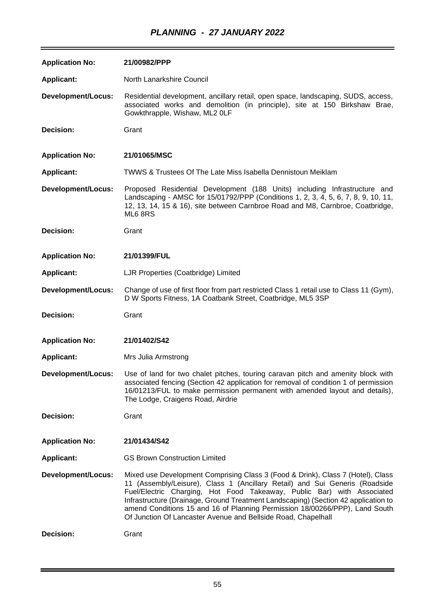| <b>Application No:</b>    | 21/00982/PPP                                                                                                                                                                                                                                                                                                                                                                                                                                                                   |
|---------------------------|--------------------------------------------------------------------------------------------------------------------------------------------------------------------------------------------------------------------------------------------------------------------------------------------------------------------------------------------------------------------------------------------------------------------------------------------------------------------------------|
| <b>Applicant:</b>         | North Lanarkshire Council                                                                                                                                                                                                                                                                                                                                                                                                                                                      |
| <b>Development/Locus:</b> | Residential development, ancillary retail, open space, landscaping, SUDS, access,<br>associated works and demolition (in principle), site at 150 Birkshaw Brae,<br>Gowkthrapple, Wishaw, ML2 OLF                                                                                                                                                                                                                                                                               |
| Decision:                 | Grant                                                                                                                                                                                                                                                                                                                                                                                                                                                                          |
| <b>Application No:</b>    | 21/01065/MSC                                                                                                                                                                                                                                                                                                                                                                                                                                                                   |
| <b>Applicant:</b>         | <b>TWWS &amp; Trustees Of The Late Miss Isabella Dennistoun Meiklam</b>                                                                                                                                                                                                                                                                                                                                                                                                        |
| <b>Development/Locus:</b> | Proposed Residential Development (188 Units) including Infrastructure and<br>Landscaping - AMSC for 15/01792/PPP (Conditions 1, 2, 3, 4, 5, 6, 7, 8, 9, 10, 11,<br>12, 13, 14, 15 & 16), site between Carnbroe Road and M8, Carnbroe, Coatbridge,<br>ML68RS                                                                                                                                                                                                                    |
| Decision:                 | Grant                                                                                                                                                                                                                                                                                                                                                                                                                                                                          |
| <b>Application No:</b>    | 21/01399/FUL                                                                                                                                                                                                                                                                                                                                                                                                                                                                   |
| <b>Applicant:</b>         | LJR Properties (Coatbridge) Limited                                                                                                                                                                                                                                                                                                                                                                                                                                            |
| <b>Development/Locus:</b> | Change of use of first floor from part restricted Class 1 retail use to Class 11 (Gym),<br>D W Sports Fitness, 1A Coatbank Street, Coatbridge, ML5 3SP                                                                                                                                                                                                                                                                                                                         |
| Decision:                 | Grant                                                                                                                                                                                                                                                                                                                                                                                                                                                                          |
| <b>Application No:</b>    | 21/01402/S42                                                                                                                                                                                                                                                                                                                                                                                                                                                                   |
| <b>Applicant:</b>         | Mrs Julia Armstrong                                                                                                                                                                                                                                                                                                                                                                                                                                                            |
| <b>Development/Locus:</b> | Use of land for two chalet pitches, touring caravan pitch and amenity block with<br>associated fencing (Section 42 application for removal of condition 1 of permission<br>16/01213/FUL to make permission permanent with amended layout and details),<br>The Lodge, Craigens Road, Airdrie                                                                                                                                                                                    |
| <b>Decision:</b>          | Grant                                                                                                                                                                                                                                                                                                                                                                                                                                                                          |
| <b>Application No:</b>    | 21/01434/S42                                                                                                                                                                                                                                                                                                                                                                                                                                                                   |
| <b>Applicant:</b>         | <b>GS Brown Construction Limited</b>                                                                                                                                                                                                                                                                                                                                                                                                                                           |
| <b>Development/Locus:</b> | Mixed use Development Comprising Class 3 (Food & Drink), Class 7 (Hotel), Class<br>11 (Assembly/Leisure), Class 1 (Ancillary Retail) and Sui Generis (Roadside<br>Fuel/Electric Charging, Hot Food Takeaway, Public Bar) with Associated<br>Infrastructure (Drainage, Ground Treatment Landscaping) (Section 42 application to<br>amend Conditions 15 and 16 of Planning Permission 18/00266/PPP), Land South<br>Of Junction Of Lancaster Avenue and Bellside Road, Chapelhall |
| Decision:                 | Grant                                                                                                                                                                                                                                                                                                                                                                                                                                                                          |